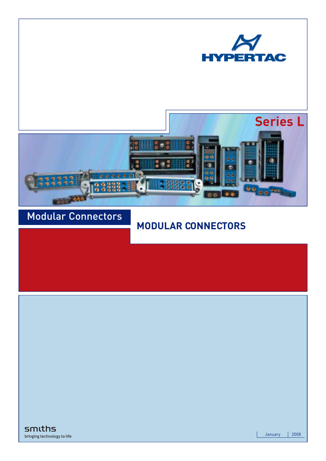



## Modular Connectors

## **MODULAR CONNECTORS**

smiths bringing technology to life

January | 2008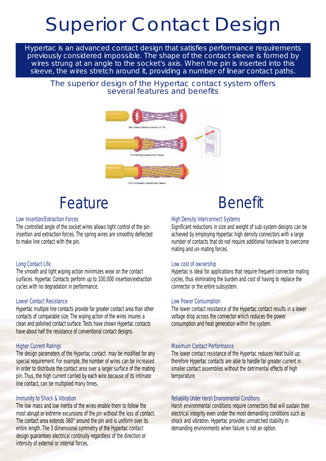# Superior Contact Design

Hypertac is an advanced contact design that satisfies performance requirements previously considered impossible. The shape of the contact sleeve is formed by wires strung at an angle to the socket's axis. When the pin is inserted into this sleeve, the wires stretch around it, providing a number of linear contact paths.

#### The superior design of the Hypertac contact system offers several features and benefits



# Feature **Benefit**

#### *Low Insertion/Extraction Forces*

The controlled angle of the socket wires allows tight control of the pin insertion and extraction forces. The spring wires are smoothly deflected to make line contact with the pin.

#### *Long Contact Life*

The smooth and light wiping action minimizes wear on the contact surfaces. Hypertac Contacts perform up to 100,000 insertion/extraction cycles with no degradation in performance.

#### *Lower Contact Resistance*

Hypertac multiple line contacts provide far greater contact area than other contacts of comparable size. The wiping action of the wires insures a clean and polished contact surface. Tests have shown Hypertac contacts have about half the resistance of conventional contact designs.

#### *Higher Current Ratings*

The design parameters of the Hypertac contact may be modified for any special requirement. For example, the number of wires can be increased in order to distribute the contact area over a larger surface of the mating pin. Thus, the high current carried by each wire because of its intimate line contact, can be multiplied many times.

#### *Immunity to Shock & Vibration*

The low mass and low inertia of the wires enable them to follow the most abrupt or extreme excursions of the pin without the loss of contact. The contact area extends 360° around the pin and is uniform over its entire length. The 3 dimensional symmetry of the Hypertac contact design guarantees electrical continuity regardless of the direction or intensity of external or internal forces.

#### *High Density Interconnect Systems*

Significant reductions in size and weight of sub-system designs can be achieved by employing Hypertac high density connectors with a large number of contacts that do not require additional hardware to overcome mating and un-mating forces.

#### *Low cost of ownership*

Hypertac is ideal for applications that require frequent connector mating cycles, thus eliminating the burden and cost of having to replace the connector or the entire subsystem.

#### *Low Power Consumption*

The lower contact resistance of the Hypertac contact results in a lower voltage drop across the connector which reduces the power consumption and heat generation within the system.

#### *Maximum Contact Performance*

The lower contact resistance of the Hypertac reduces heat build up; therefore Hypertac contacts are able to handle far greater current in smaller contact assemblies without the detrimental effects of high temperature.

#### *Reliability Under Harsh Environmental Conditions*

Harsh environmental conditions require connectors that will sustain their electrical integrity even under the most demanding conditions such as shock and vibration. Hypertac provides unmatched stability in demanding environments when failure is not an option.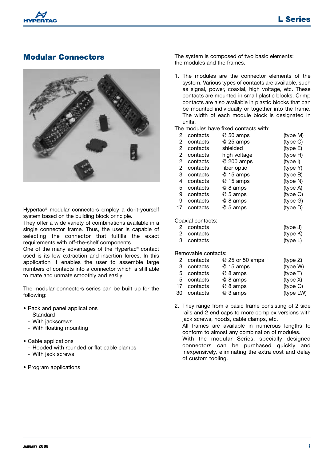

#### **Modular Connectors**



Hypertac® modular connectors employ a do-it-yourself system based on the building block principle.

They offer a wide variety of combinations available in a single connector frame. Thus, the user is capable of selecting the connector that fulfills the exact requirements with off-the-shelf components.

One of the many advantages of the Hypertac® contact used is its low extraction and insertion forces. In this application it enables the user to assemble large numbers of contacts into a connector which is still able to mate and unmate smoothly and easily

The modular connectors series can be built up for the following:

- Rack and panel applications
	- Standard
	- With jackscrews
	- With floating mounting
- Cable applications
	- Hooded with rounded or flat cable clamps
	- With jack screws
- Program applications

The system is composed of two basic elements: the modules and the frames.

1. The modules are the connector elements of the system. Various types of contacts are available, such as signal, power, coaxial, high voltage, etc. These contacts are mounted in small plastic blocks. Crimp contacts are also available in plastic blocks that can be mounted individually or together into the frame. The width of each module block is designated in units.

The modules have fixed contacts with:

| 2                 | contacts | @ 50 amps    | (type M)             |  |
|-------------------|----------|--------------|----------------------|--|
| 2                 | contacts | @ 25 amps    | (type C)             |  |
| 2                 | contacts | shielded     | (type E)             |  |
| 2                 | contacts | high voltage | (type H)             |  |
| 2                 | contacts | @ 200 amps   | (type I)             |  |
| 2                 | contacts | fiber optic  | (type Y)             |  |
| З                 | contacts | @ 15 amps    | (type B)             |  |
| 4                 | contacts | @ 15 amps    | (type N)             |  |
| 5                 | contacts | @ 8 amps     | (type A)             |  |
| 9                 | contacts | @ 5 amps     | (type Q)             |  |
| 9                 | contacts | @ 8 amps     | (type G)             |  |
| 17                | contacts | @ 5 amps     | (typ <sub>e</sub> D) |  |
| Coaxial contacts: |          |              |                      |  |

2 contacts (type J) 2 contacts (type K) 3 contacts (type L)

Removable contacts:

|    | 2 contacts  | @ 25 or 50 amps | (type Z)  |
|----|-------------|-----------------|-----------|
| 3  | contacts    | @ 15 amps       | (type W)  |
|    | 5 contacts  | @ 8 amps        | (type T)  |
|    | 5 contacts  | @ 8 amps        | (type X)  |
|    | 17 contacts | @ 8 amps        | (type O)  |
| 30 | contacts    | @ 3 amps        | (type LW) |

2. They range from a basic frame consisting of 2 side rails and 2 end caps to more complex versions with jack screws, hoods, cable clamps, etc. All frames are available in numerous lengths to conform to almost any combination of modules. With the modular Series, specially designed connectors can be purchased quickly and inexpensively, eliminating the extra cost and delay of custom tooling.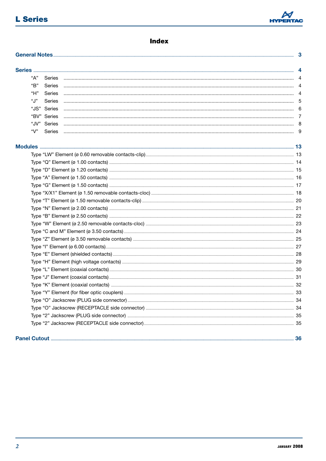

#### **Index**

| <b>General Notes</b> |               |  | 3 |
|----------------------|---------------|--|---|
|                      |               |  | 4 |
| "А"                  | Series        |  |   |
| "В"                  | <b>Series</b> |  |   |
| "Н"                  | Series        |  |   |
| "J"                  | Series        |  |   |
|                      | "JS" Series   |  |   |
|                      | "BV" Series   |  |   |
|                      | "JV" Series   |  |   |
| "V"                  | <b>Series</b> |  |   |
|                      |               |  |   |
|                      |               |  |   |
|                      |               |  |   |
|                      |               |  |   |
|                      |               |  |   |
|                      |               |  |   |
|                      |               |  |   |
|                      |               |  |   |
|                      |               |  |   |
|                      |               |  |   |
|                      |               |  |   |
|                      |               |  |   |
|                      |               |  |   |
|                      |               |  |   |
|                      |               |  |   |
|                      |               |  |   |
|                      |               |  |   |
|                      |               |  |   |
|                      |               |  |   |
|                      |               |  |   |
|                      |               |  |   |
|                      |               |  |   |
|                      |               |  |   |
|                      |               |  |   |
|                      |               |  |   |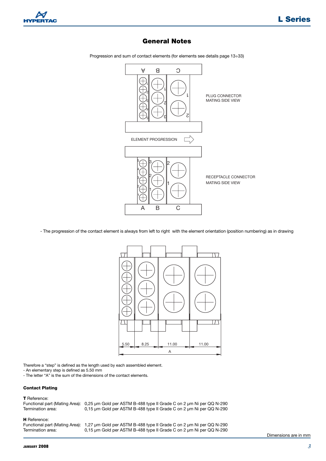

#### **General Notes**

A B C  $\mathsf L$ Ы 2 PLUG CONNECTOR 1 MATING SIDE VIEW ଯ ट Ы 2 ଥ 5  $\frac{1}{\sqrt{2}}$ ELEMENT PROGRESSION  $\mathbb{Z} \rightarrow \mathbb{B}$ 2 4 2 RECEPTACLE CONNECTOR 3 MATING SIDE VIEW 1 2 1 1 A B C

Progression and sum of contact elements (for elements see details page 13÷33)

- The progression of the contact element is always from left to right with the element orientation (position numbering) as in drawing



Therefore a "step" is defined as the length used by each assembled element.

- An elementary step is defined as 5.50 mm

- The letter "A" is the sum of the dimensions of the contact elements.

#### **Contact Plating**

**T** Reference: Functional part (Mating Area): 0,25 µm Gold per ASTM B-488 type II Grade C on 2 µm Ni per QQ N-290 0,15 µm Gold per ASTM B-488 type II Grade C on 2 µm Ni per QQ N-290 **H** Reference: Functional part (Mating Area): 1,27 µm Gold per ASTM B-488 type II Grade C on 2 µm Ni per QQ N-290

Termination area: 0,15 µm Gold per ASTM B-488 type II Grade C on 2 µm Ni per QQ N-290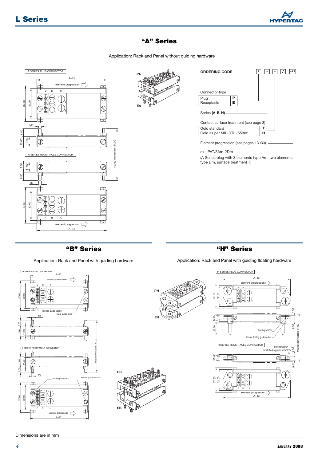

#### **"A" Series**

Application: Rack and Panel without guiding hardware



**"B" Series "H" Series**

Application: Rack and Panel with guiding hardware Application: Rack and Panel with guiding floating hardware



 $A + 13$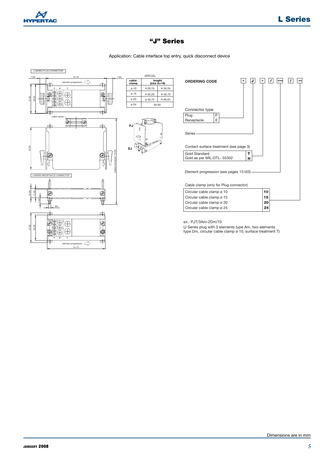

#### **"J" Series**

Application: Cable interface top entry, quick disconnect device

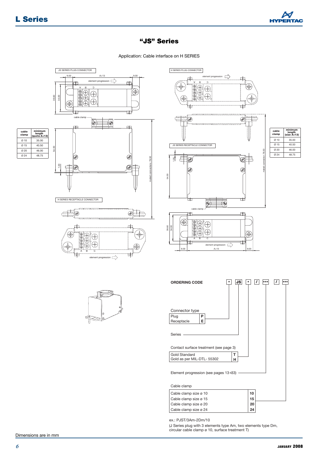Ø 24 Ø 20 Ø 15  $\alpha$  10



#### **"JS" Series**

Application: Cable interface on H SERIES





element progression

H SERIES PLUG CONNECTOR

ex.: PJST/3Am-2Dm/10 Cable clamp size ø 24 **24**

(J Series plug with 3 elements type Am, two elements type Dm, circular cable clamp ø 10, surface treatment T)

Cable clamp size ø 20<br>
Cable clamp size ø 24 **24**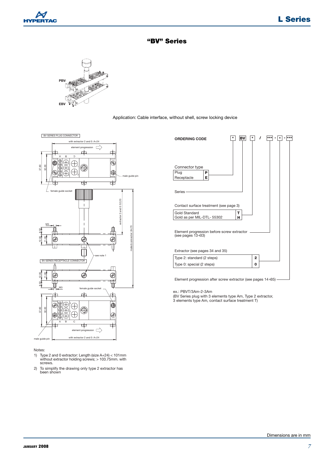







| <b>BV</b><br><b>ORDERING CODE</b>                                  |                |  |
|--------------------------------------------------------------------|----------------|--|
| Connector type<br>Plug<br>Р<br>Receptacle<br>E.                    |                |  |
| Series -                                                           |                |  |
| Contact surface treatment (see page 3)                             |                |  |
| Gold Standard<br>т<br>Gold as per MIL-DTL- 55302<br>н              |                |  |
| Element progression before screw extractor<br>(see pages $13+33$ ) |                |  |
| Extractor (see pages 34 and 35)                                    |                |  |
| Type 2: standard (2 steps)                                         | $\overline{2}$ |  |
| Type 0: special (2 steps)                                          | 0              |  |
|                                                                    |                |  |

Element progression after screw extractor (see pages 14÷35)

ex.: PBVT/3Am-2-3Am

(BV Series plug with 3 elements type Am, Type 2 extractor, 3 elements type Am, contact surface treatment T)

#### Notes:

- 1) Type 2 and 0 extractor: Length (size A+24) < 101mm without extractor holding screws; > 103.75mm. with screws.
- 2) To simplify the drawing only type 2 extractor has been shown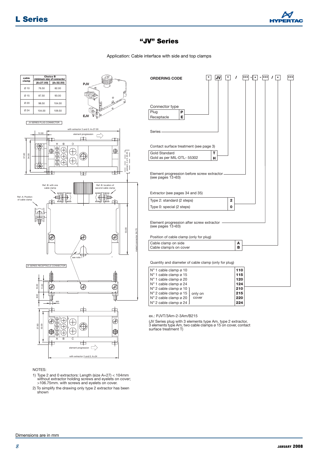

Application: Cable interface with side and top clamps



#### NOTES:

1) Type 2 and 0 extractors: Length (size A+27) < 104mm without extractor holding screws and eyelets on cover; >106.75mm. with screws and eyelets on cover.

<sup>2)</sup> To simplify the drawing only type 2 extractor has been shown<sup>'</sup>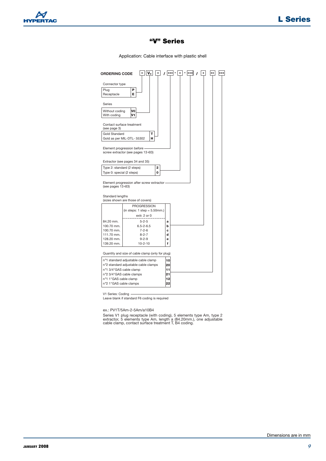

Application: Cable interface with plastic shell

| Connector type<br>Plug<br>P<br>E.<br>Receptacle<br>Series<br>VO<br>Without coding<br>With coding<br>V1<br>Contact surface treatment<br>(see page 3)<br><b>Gold Standard</b><br>т<br>н<br>Gold as per MIL-DTL- 55302<br>Element progression before -<br>screw extractor (see pages 13+33)<br>Extractor (see pages 34 and 35)<br>Type 2: standard (2 steps)<br>2<br>Type 0: special (2 steps)<br>0<br>Element progression after screw extractor -<br>(see pages $13 + 33$ )<br>Standard lengths<br>(sizes shown are those of covers)<br><b>PROGRESSION</b><br>(in steps: $1$ step = $5.50$ mm.)<br>extr. 2 or 0<br>84.20 mm.<br>$5 - 2 - 5$<br>a<br>100.70 mm.<br>$6.5 - 2 - 6.5$<br>b<br>$7 - 2 - 6$<br>100.70 mm.<br>c<br>111.70 mm.<br>$8 - 2 - 7$<br>d<br>128.20 mm.<br>$9 - 2 - 9$<br>ė<br>139.20 mm.<br>$10 - 2 - 10$<br>f<br>Quantity and size of cable clamp (only for plug)<br>nº1 standard adjustable cable clamp<br>10<br>n°2 standard adjustable cable clamps<br>20<br>n°1 3/4"GAS cable clamp<br>11<br>nº2 3/4"GAS cable clamps<br>21<br>12<br>nº1 1"GAS cable clamp<br>n°2 1"GAS cable clamps<br>22 | <b>ORDERING CODE</b> |  |  |  | $^{\tiny{\textcolor{red}{\star}}}$ | $***$ | *** |
|-----------------------------------------------------------------------------------------------------------------------------------------------------------------------------------------------------------------------------------------------------------------------------------------------------------------------------------------------------------------------------------------------------------------------------------------------------------------------------------------------------------------------------------------------------------------------------------------------------------------------------------------------------------------------------------------------------------------------------------------------------------------------------------------------------------------------------------------------------------------------------------------------------------------------------------------------------------------------------------------------------------------------------------------------------------------------------------------------------------------|----------------------|--|--|--|------------------------------------|-------|-----|
|                                                                                                                                                                                                                                                                                                                                                                                                                                                                                                                                                                                                                                                                                                                                                                                                                                                                                                                                                                                                                                                                                                                 |                      |  |  |  |                                    |       |     |
|                                                                                                                                                                                                                                                                                                                                                                                                                                                                                                                                                                                                                                                                                                                                                                                                                                                                                                                                                                                                                                                                                                                 |                      |  |  |  |                                    |       |     |
|                                                                                                                                                                                                                                                                                                                                                                                                                                                                                                                                                                                                                                                                                                                                                                                                                                                                                                                                                                                                                                                                                                                 |                      |  |  |  |                                    |       |     |
|                                                                                                                                                                                                                                                                                                                                                                                                                                                                                                                                                                                                                                                                                                                                                                                                                                                                                                                                                                                                                                                                                                                 |                      |  |  |  |                                    |       |     |
|                                                                                                                                                                                                                                                                                                                                                                                                                                                                                                                                                                                                                                                                                                                                                                                                                                                                                                                                                                                                                                                                                                                 |                      |  |  |  |                                    |       |     |
|                                                                                                                                                                                                                                                                                                                                                                                                                                                                                                                                                                                                                                                                                                                                                                                                                                                                                                                                                                                                                                                                                                                 |                      |  |  |  |                                    |       |     |
|                                                                                                                                                                                                                                                                                                                                                                                                                                                                                                                                                                                                                                                                                                                                                                                                                                                                                                                                                                                                                                                                                                                 |                      |  |  |  |                                    |       |     |
|                                                                                                                                                                                                                                                                                                                                                                                                                                                                                                                                                                                                                                                                                                                                                                                                                                                                                                                                                                                                                                                                                                                 |                      |  |  |  |                                    |       |     |
|                                                                                                                                                                                                                                                                                                                                                                                                                                                                                                                                                                                                                                                                                                                                                                                                                                                                                                                                                                                                                                                                                                                 |                      |  |  |  |                                    |       |     |
|                                                                                                                                                                                                                                                                                                                                                                                                                                                                                                                                                                                                                                                                                                                                                                                                                                                                                                                                                                                                                                                                                                                 |                      |  |  |  |                                    |       |     |
|                                                                                                                                                                                                                                                                                                                                                                                                                                                                                                                                                                                                                                                                                                                                                                                                                                                                                                                                                                                                                                                                                                                 |                      |  |  |  |                                    |       |     |
|                                                                                                                                                                                                                                                                                                                                                                                                                                                                                                                                                                                                                                                                                                                                                                                                                                                                                                                                                                                                                                                                                                                 |                      |  |  |  |                                    |       |     |
|                                                                                                                                                                                                                                                                                                                                                                                                                                                                                                                                                                                                                                                                                                                                                                                                                                                                                                                                                                                                                                                                                                                 |                      |  |  |  |                                    |       |     |
|                                                                                                                                                                                                                                                                                                                                                                                                                                                                                                                                                                                                                                                                                                                                                                                                                                                                                                                                                                                                                                                                                                                 |                      |  |  |  |                                    |       |     |
|                                                                                                                                                                                                                                                                                                                                                                                                                                                                                                                                                                                                                                                                                                                                                                                                                                                                                                                                                                                                                                                                                                                 |                      |  |  |  |                                    |       |     |
|                                                                                                                                                                                                                                                                                                                                                                                                                                                                                                                                                                                                                                                                                                                                                                                                                                                                                                                                                                                                                                                                                                                 |                      |  |  |  |                                    |       |     |
|                                                                                                                                                                                                                                                                                                                                                                                                                                                                                                                                                                                                                                                                                                                                                                                                                                                                                                                                                                                                                                                                                                                 |                      |  |  |  |                                    |       |     |
|                                                                                                                                                                                                                                                                                                                                                                                                                                                                                                                                                                                                                                                                                                                                                                                                                                                                                                                                                                                                                                                                                                                 |                      |  |  |  |                                    |       |     |
|                                                                                                                                                                                                                                                                                                                                                                                                                                                                                                                                                                                                                                                                                                                                                                                                                                                                                                                                                                                                                                                                                                                 |                      |  |  |  |                                    |       |     |
|                                                                                                                                                                                                                                                                                                                                                                                                                                                                                                                                                                                                                                                                                                                                                                                                                                                                                                                                                                                                                                                                                                                 |                      |  |  |  |                                    |       |     |
|                                                                                                                                                                                                                                                                                                                                                                                                                                                                                                                                                                                                                                                                                                                                                                                                                                                                                                                                                                                                                                                                                                                 |                      |  |  |  |                                    |       |     |
|                                                                                                                                                                                                                                                                                                                                                                                                                                                                                                                                                                                                                                                                                                                                                                                                                                                                                                                                                                                                                                                                                                                 |                      |  |  |  |                                    |       |     |
|                                                                                                                                                                                                                                                                                                                                                                                                                                                                                                                                                                                                                                                                                                                                                                                                                                                                                                                                                                                                                                                                                                                 |                      |  |  |  |                                    |       |     |
|                                                                                                                                                                                                                                                                                                                                                                                                                                                                                                                                                                                                                                                                                                                                                                                                                                                                                                                                                                                                                                                                                                                 |                      |  |  |  |                                    |       |     |
|                                                                                                                                                                                                                                                                                                                                                                                                                                                                                                                                                                                                                                                                                                                                                                                                                                                                                                                                                                                                                                                                                                                 |                      |  |  |  |                                    |       |     |

V1 Series: Coding Leave blank if standard F6 coding is required

ex.: PV1T/5Am-2-5Am/a10B4

Series V1 plug receptacle (with coding), 5 elements type Am, type 2<br>extractor, 5 elements type Am, length a (84.20mm.), one adjustable<br>cable clamp, contact surface treatment T, B4 coding.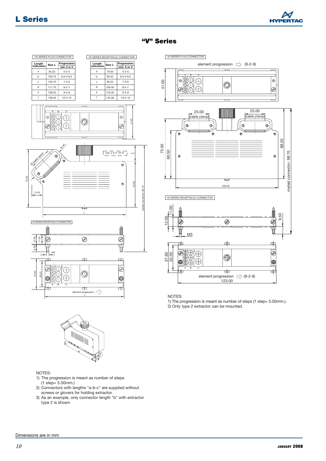





NOTES:

1) The progression is meant as number of steps (1 step= 5.50mm.). 2) Only type 2 extractor can be mounted.



#### NOTES:

- 1) The progression is meant as number of steps (1 step= 5.50mm.)
- 2) Connectors with lengths "a-b-c" are supplied without screws or glovers for holding extractor.
- 3) As an example, only connector length "b" with extractor type 2 is shown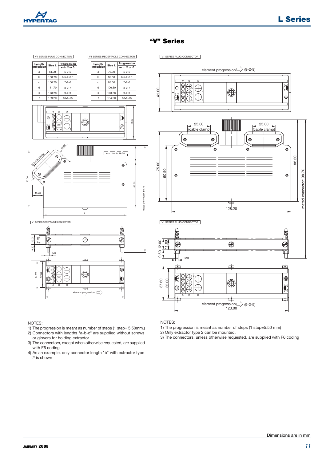

V1 SERIES PLUG CONNECTOR



V1 SERIES PLUG CONNECTOR V1 SERIES RECEPTACLE CONNECTOR



#### NOTES:

- 1) The progression is meant as number of steps (1 step= 5.50mm.)
- 2) Connectors with lengths "a-b-c" are supplied without screws or glovers for holding extractor.
- 3) The connectors, except when otherwise requested, are supplied with F6 coding
- 4) As an example, only connector length "b" with extractor type 2 is shown

#### NOTES:

- 1) The progression is meant as number of steps (1 step=5.50 mm)
- 2) Only extractor type 2 can be mounted.
- 3) The connectors, unless otherwise requested, are supplied with F6 coding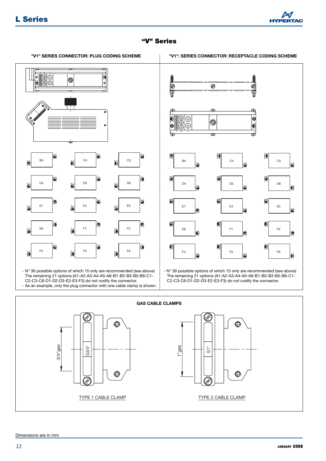



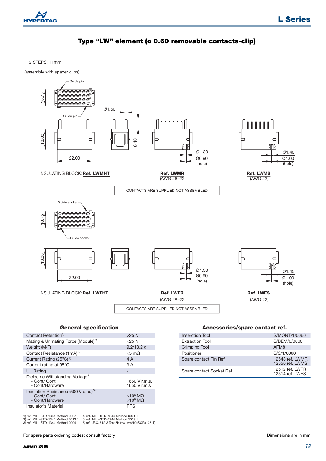

#### **Type "LW" element (ø 0.60 removable contacts-clip)**

2 STEPS: 11mm.

(assembly with spacer clips)



#### **General specification**

| Contact Retention <sup>1)</sup>                                                      | $>25$ N                          |
|--------------------------------------------------------------------------------------|----------------------------------|
| Mating & Unmating Force (Module) <sup>2)</sup>                                       | $<$ 25 N                         |
| Weight (M/F)                                                                         | $9.2/13.2$ g                     |
| Contact Resistance (1mA) <sup>3)</sup>                                               | $<$ 5 m $\Omega$                 |
| Current Rating $(25^{\circ}C)^{6}$                                                   | 4 A                              |
| Current rating at 95°C                                                               | 3 A                              |
| <b>UL Rating</b>                                                                     |                                  |
| Dielectric Withstanding Voltage <sup>4)</sup><br>- Cont/ Cont<br>- Cont/Hardware     | 1650 V r.m.s.<br>1650 V r.m.s    |
| Insulation Resistance (500 V d. c.) <sup>5)</sup><br>- Cont/ Cont<br>- Cont/Hardware | $>10^6$ M $\Omega$<br>$>10^6$ ΜΩ |
| Insulator's Material                                                                 | <b>PPS</b>                       |
|                                                                                      |                                  |

1) ref. MIL –STD-1344 Method 2007 2) ref. MIL –STD-1344 Method 2013.1 3) ref. MIL –STD-1344 Method 2004 4) ref. MIL –STD-1344 Method 3001.1 5) ref. MIL –STD-1344 Method 3003.1 6) ref. I.E.C. 512-3 Test 5b (IT= I 25°C/10xSQR (125-T) **Accessories/spare contact ref.**

| Inserction Tool           | S/MONT/1/0060                       |
|---------------------------|-------------------------------------|
| <b>Extraction Tool</b>    | S/DEM/6/0060                        |
| <b>Crimping Tool</b>      | AFM <sub>8</sub>                    |
| Positioner                | S/S/1/0060                          |
| Spare contact Pin Ref.    | 12548 ref. I WMR<br>12550 ref. LWMS |
| Spare contact Socket Ref. | 12512 ref. LWFR<br>12514 ref. LWFS  |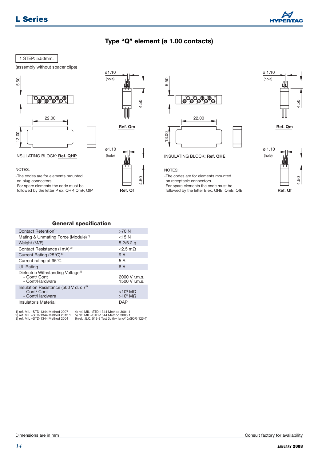

#### **Type "Q" element (ø 1.00 contacts)**

#### 1 STEP: 5.50mm.

(assembly without spacer clips)



#### INSULATING BLOCK: **Ref. QHP**

NOTES:

-The codes are for elements mounted

on plug connectors.

-For spare elements the code must be followed by the letter P ex. QHP, QmP, QfP







-The codes are for elements mounted

on receptacle connectors.

-For spare elements the code must be followed by the letter E ex. QHE, QmE, QfE



**Ref. Qm**



#### **General specification**

| Contact Retention <sup>1)</sup>                                                      | $>70$ N                                  |
|--------------------------------------------------------------------------------------|------------------------------------------|
| Mating & Unmating Force (Module) <sup>2)</sup>                                       | $<$ 15 N                                 |
| Weight (M/F)                                                                         | $5.2/6.2$ q                              |
| Contact Resistance (1mA) <sup>3)</sup>                                               | $\langle 2.5 \text{ m}\Omega$            |
| Current Rating $(25^{\circ}C)^{6}$                                                   | 9 A                                      |
| Current rating at 95°C                                                               | 5 A                                      |
| <b>UL Rating</b>                                                                     | 8 A                                      |
| Dielectric Withstanding Voltage <sup>4)</sup><br>- Cont/ Cont<br>- Cont/Hardware     | 2000 V r.m.s.<br>1500 V r.m.s.           |
| Insulation Resistance (500 V d. c.) <sup>5)</sup><br>- Cont/ Cont<br>- Cont/Hardware | $>10^6$ M $\Omega$<br>$>10^6$ M $\Omega$ |
| Insulator's Material                                                                 | <b>DAP</b>                               |

1) ref. MIL –STD-1344 Method 2007 2) ref. MIL –STD-1344 Method 2013.1 3) ref. MIL –STD-1344 Method 2004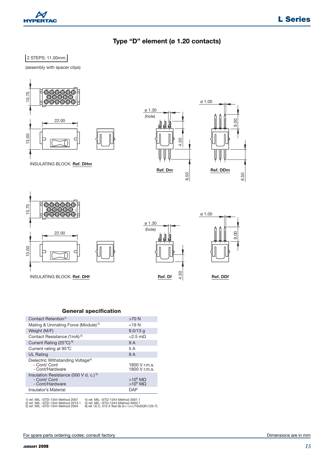

#### **Type "D" element (ø 1.20 contacts)**

#### 2 STEPS: 11.00mm.

(assembly with spacer clips)



#### **General specification**

| Contact Retention <sup>1)</sup>                                                      | $>70$ N                          |
|--------------------------------------------------------------------------------------|----------------------------------|
| Mating & Unmating Force (Module) <sup>2)</sup>                                       | $<$ 19 N                         |
| Weight (M/F)                                                                         | $9.0/13$ q                       |
| Contact Resistance (1mA) <sup>3)</sup>                                               | $<$ 2.5 m $\Omega$               |
| Current Rating $(25^{\circ}C)^{6}$                                                   | 9 A                              |
| Current rating at 95°C                                                               | 5 A                              |
| <b>UL Rating</b>                                                                     | 8 A                              |
| Dielectric Withstanding Voltage <sup>4)</sup><br>- Cont/ Cont<br>- Cont/Hardware     | 1800 V r.m.s.<br>1800 V r.m.s.   |
| Insulation Resistance (500 V d. c.) <sup>5)</sup><br>- Cont/ Cont<br>- Cont/Hardware | $>10^6$ M $\Omega$<br>$>10^6$ ΜΩ |
| Insulator's Material                                                                 | DAP                              |

1) ref. MIL –STD-1344 Method 2007 2) ref. MIL –STD-1344 Method 2013.1 3) ref. MIL –STD-1344 Method 2004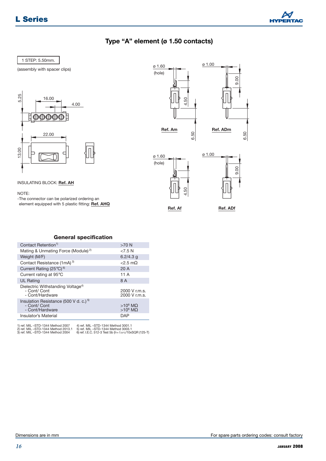

#### **Type "A" element (ø 1.50 contacts)**

#### 1 STEP: 5.50mm.

(assembly with spacer clips)



INSULATING BLOCK: **Ref. AH**

NOTE:

-The connector can be polarized ordering an element equipped with 5 plastic fitting: **Ref. AHQ**





**Ref. Af**



**Ref. ADf**

| Contact Retention <sup>1)</sup>                                                      | $>70$ N                          |
|--------------------------------------------------------------------------------------|----------------------------------|
| Mating & Unmating Force (Module) <sup>2)</sup>                                       | 27.5N                            |
| Weight (M/F)                                                                         | $6.2/4.3$ q                      |
| Contact Resistance (1mA) <sup>3)</sup>                                               | $<$ 2.5 m $\Omega$               |
| Current Rating (25°C) <sup>6)</sup>                                                  | 20A                              |
| Current rating at 95°C                                                               | 11 A                             |
| <b>UL Rating</b>                                                                     | 8 A                              |
| Dielectric Withstanding Voltage <sup>4)</sup><br>- Cont/ Cont<br>- Cont/Hardware     | 2000 V r.m.s.<br>2000 V r.m.s.   |
| Insulation Resistance (500 V d. c.) <sup>5)</sup><br>- Cont/ Cont<br>- Cont/Hardware | $>10^6$ M $\Omega$<br>$>10^6$ ΜΩ |
| Insulator's Material                                                                 | <b>DAP</b>                       |

**General specification**

1) ref. MIL –STD-1344 Method 2007 2) ref. MIL –STD-1344 Method 2013.1 3) ref. MIL –STD-1344 Method 2004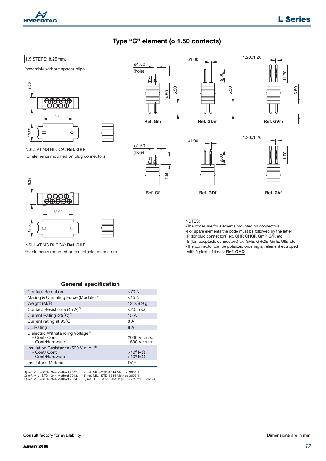

#### **Type "G" element (ø 1.50 contacts)**

#### 1.5 STEPS: 8.25mm.

#### (assembly without spacer clips)



INSULATING BLOCK: **Ref. GHP**

For elements mounted on plug connectors

ø1.60 (hole)















#### INSULATING BLOCK: **Ref. GHE**

For elements mounted on receptacle connectors

#### NOTES:

-The codes are for elements mounted on connectors.

-For spare elements the code must be followed by the letter

P (for plug connectors) ex. GHP, GHQP, GmP, GfP, etc.

E (for receptacle connectors) ex. GHE, GHQE, GmE, GfE, etc. -The connector can be polarized ordering an element equipped

with 9 plastic fittings: **Ref. GHQ**

#### **General specification**

| Contact Retention <sup>1)</sup>                                                      | $>70$ N                                  |
|--------------------------------------------------------------------------------------|------------------------------------------|
| Mating & Unmating Force (Module) <sup>2)</sup>                                       | $<$ 15 N                                 |
| Weight (M/F)                                                                         | $12.2/8.9$ q                             |
| Contact Resistance (1mA) <sup>3)</sup>                                               | $\langle 2.5 \text{ m}\Omega$            |
| Current Rating $(25^{\circ}C)^{6}$                                                   | 15 A                                     |
| Current rating at 95°C                                                               | 8 A                                      |
| <b>UL Rating</b>                                                                     | 8 A                                      |
| Dielectric Withstanding Voltage <sup>4)</sup><br>- Cont/ Cont<br>- Cont/Hardware     | 2000 V r.m.s.<br>1500 V r.m.s.           |
| Insulation Resistance (500 V d. c.) <sup>5)</sup><br>- Cont/ Cont<br>- Cont/Hardware | $>10^6$ M $\Omega$<br>$>10^6$ M $\Omega$ |
| Insulator's Material                                                                 | DAP                                      |
|                                                                                      |                                          |

1) ref. MIL –STD-1344 Method 2007 2) ref. MIL –STD-1344 Method 2013.1 3) ref. MIL –STD-1344 Method 2004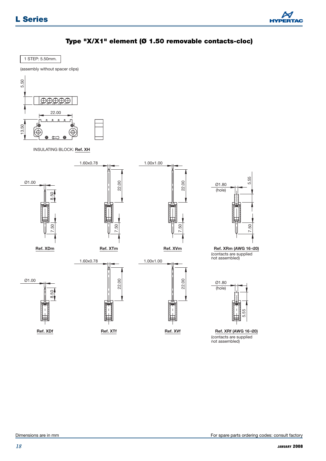



1 STEP: 5.50mm.

(assembly without spacer clips)



INSULATING BLOCK: **Ref. XH**





(contacts are supplied not assembled)



(contacts are supplied not assembled)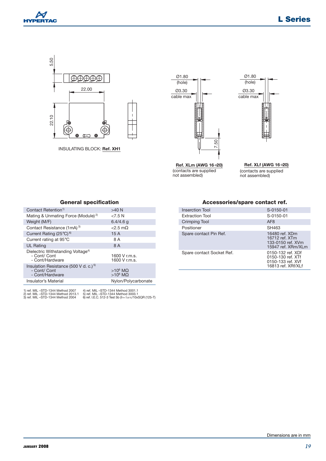



INSULATING BLOCK: **Ref. XH1**







#### **General specification**

| Contact Retention <sup>1)</sup>                                                                              | $>40$ N                                                                                                                            |
|--------------------------------------------------------------------------------------------------------------|------------------------------------------------------------------------------------------------------------------------------------|
| Mating & Unmating Force (Module) <sup>2)</sup>                                                               | < 7.5 N                                                                                                                            |
| Weight (M/F)                                                                                                 | $6.4/4.6$ q                                                                                                                        |
| Contact Resistance (1mA) <sup>3)</sup>                                                                       | $<$ 2.5 m $\Omega$                                                                                                                 |
| Current Rating $(25^{\circ}C)^{6}$                                                                           | 15 A                                                                                                                               |
| Current rating at 95°C                                                                                       | 8 A                                                                                                                                |
| <b>UL Rating</b>                                                                                             | 8 A                                                                                                                                |
| Dielectric Withstanding Voltage <sup>4)</sup><br>- Cont/ Cont<br>- Cont/Hardware                             | 1600 V r.m.s.<br>1600 V r.m.s.                                                                                                     |
| Insulation Resistance (500 V d. c.) <sup>5)</sup><br>- Cont/ Cont<br>- Cont/Hardware                         | $>10^6$ M $\Omega$<br>$>10^6$ ΜΩ                                                                                                   |
| Insulator's Material                                                                                         | Nylon/Polycarbonate                                                                                                                |
| 1) ref. MIL-STD-1344 Method 2007<br>2) ref. MIL -STD-1344 Method 2013.1<br>3) ref. MIL -STD-1344 Method 2004 | 4) ref. MIL-STD-1344 Method 3001.1<br>5) ref. MIL-STD-1344 Method 3003.1<br>6) ref. I.E.C. 512-3 Test 5b (IT= 125°C/10xSQR (125-T) |

#### **Accessories/spare contact ref.**

Ø1.80 (hole)

Ø3.30 cable max

| <b>Inserction Tool</b>    | S-0150-01                                                                         |
|---------------------------|-----------------------------------------------------------------------------------|
| <b>Extraction Tool</b>    | $S-0150-01$                                                                       |
| <b>Crimping Tool</b>      | AF <sub>8</sub>                                                                   |
| Positioner                | SH463                                                                             |
| Spare contact Pin Ref.    | 16480 ref. XDm<br>16712 ref. XTm<br>133-0150 ref. XVm<br>15947 ref. XRm/XLm       |
| Spare contact Socket Ref. | 0150-132 ref. XDf<br>0150-130 ref. XTf<br>0150-133 ref. XVf<br>16813 ref. XRf/XLf |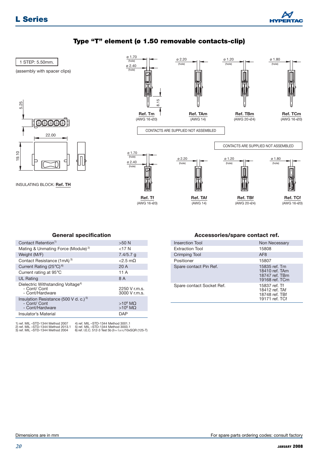

#### **Type "T" element (ø 1.50 removable contacts-clip)**



#### **General specification**

| Contact Retention <sup>1)</sup>                                                      | $>50$ N                          |
|--------------------------------------------------------------------------------------|----------------------------------|
| Mating & Unmating Force (Module) <sup>2)</sup>                                       | $<$ 17 N                         |
| Weight (M/F)                                                                         | $7.4/5.7$ q                      |
| Contact Resistance (1mA) <sup>3)</sup>                                               | $<$ 2.5 m $\Omega$               |
| Current Rating (25°C) <sup>6)</sup>                                                  | 20 A                             |
| Current rating at 95°C                                                               | 11 A                             |
| <b>UL Rating</b>                                                                     | 8 A                              |
| Dielectric Withstanding Voltage <sup>4)</sup><br>- Cont/ Cont<br>- Cont/Hardware     | 2250 V r.m.s.<br>3000 V r.m.s.   |
| Insulation Resistance (500 V d. c.) <sup>5)</sup><br>- Cont/ Cont<br>- Cont/Hardware | $>10^6$ MO<br>$>10^6$ M $\Omega$ |
| Insulator's Material                                                                 | DAP                              |

1) ref. MIL –STD-1344 Method 2007 2) ref. MIL –STD-1344 Method 2013.1 3) ref. MIL –STD-1344 Method 2004

4) ref. MIL –STD-1344 Method 3001.1 5) ref. MIL –STD-1344 Method 3003.1 6) ref. I.E.C. 512-3 Test 5b (IT= I 25°C/10xSQR (125-T)

#### **Accessories/spare contact ref.**

| Inserction Tool           | Non Necessary                                                       |
|---------------------------|---------------------------------------------------------------------|
| <b>Extraction Tool</b>    | 15808                                                               |
| Crimping Tool             | AF <sub>8</sub>                                                     |
| Positioner                | 15807                                                               |
| Spare contact Pin Ref.    | 15835 ref. Tm<br>18410 ref. TAm<br>18747 ref. TBm<br>19168 ref. TCm |
| Spare contact Socket Ref. | 15837 ref. Tf<br>18412 ref. TAf<br>18748 ref. TBf<br>19171 ref. TCf |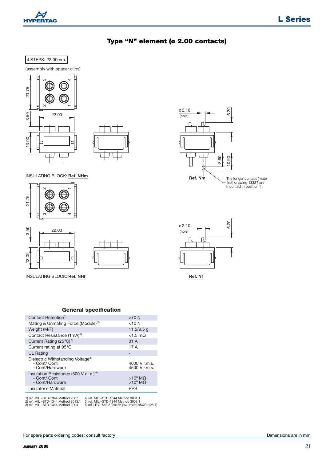

#### **Type "N" element (ø 2.00 contacts)**





INSULATING BLOCK: **Ref. NHm Ref. Nm**







#### **General specification**

| Contact Retention <sup>1)</sup>                                                      | $>70$ N                          |
|--------------------------------------------------------------------------------------|----------------------------------|
| Mating & Unmating Force (Module) <sup>2)</sup>                                       | $<$ 10 N                         |
| Weight (M/F)                                                                         | $11.5/9.5$ q                     |
| Contact Resistance (1mA) <sup>3)</sup>                                               | $<1.5$ m $0$                     |
| Current Rating $(25^{\circ}C)^{6}$                                                   | 31 A                             |
| Current rating at 95°C                                                               | 17 A                             |
| <b>UL Rating</b>                                                                     | -                                |
| Dielectric Withstanding Voltage <sup>4)</sup><br>- Cont/ Cont<br>- Cont/Hardware     | 4000 V r.m.s.<br>4500 V r.m.s.   |
| Insulation Resistance (500 V d. c.) <sup>5)</sup><br>- Cont/ Cont<br>- Cont/Hardware | $>10^6$ M $\Omega$<br>$>10^6$ ΜΩ |
| Insulator's Material                                                                 | <b>PPS</b>                       |
|                                                                                      |                                  |

1) ref. MIL –STD-1344 Method 2007 2) ref. MIL –STD-1344 Method 2013.1 3) ref. MIL –STD-1344 Method 2004



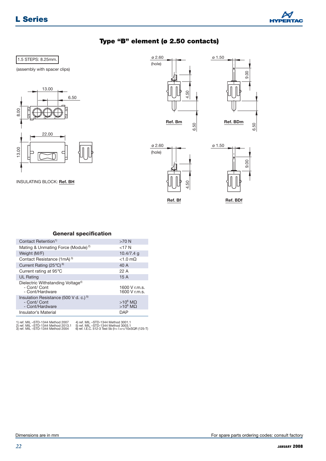

#### **Type "B" element (ø 2.50 contacts)**

#### 1.5 STEPS: 8.25mm.

(assembly with spacer clips)



INSULATING BLOCK: **Ref. BH**









**Ref. Bf Ref. BDf**

#### **General specification**

| Contact Retention <sup>1)</sup>                                                      | $>70$ N                        |
|--------------------------------------------------------------------------------------|--------------------------------|
| Mating & Unmating Force (Module) <sup>2)</sup>                                       | $<$ 17 N                       |
| Weight (M/F)                                                                         | $10.4/7.4$ q                   |
| Contact Resistance (1mA) <sup>3)</sup>                                               | $<$ 1.0 m $\Omega$             |
| Current Rating $(25^{\circ}C)^{6}$                                                   | 40 A                           |
| Current rating at 95°C                                                               | 22 A                           |
| <b>UL Rating</b>                                                                     | 15A                            |
| Dielectric Withstanding Voltage <sup>4)</sup><br>- Cont/ Cont<br>- Cont/Hardware     | 1600 V r.m.s.<br>1600 V r.m.s. |
| Insulation Resistance (500 V d. c.) <sup>5)</sup><br>- Cont/ Cont<br>- Cont/Hardware | $>10^6$ ΜΩ<br>$>10^6$ ΜΩ       |
| Insulator's Material                                                                 | <b>DAP</b>                     |

1) ref. MIL –STD-1344 Method 2007 2) ref. MIL –STD-1344 Method 2013.1 3) ref. MIL –STD-1344 Method 2004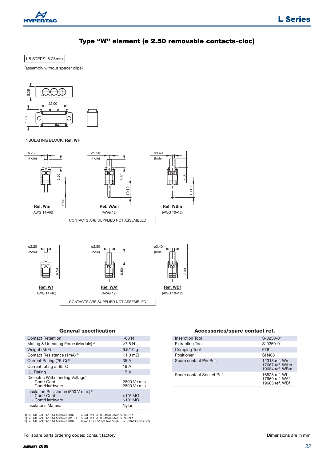

#### **Type "W" element (ø 2.50 removable contacts-cloc)**

1.5 STEPS: 8.25mm.

(assembly without spacer clips)



INSULATING BLOCK: **Ref. WH**



#### **General specification**

| Contact Retention <sup>1)</sup>                                                      | $>60$ N                                  |
|--------------------------------------------------------------------------------------|------------------------------------------|
| Mating & Unmating Force (Module) <sup>2)</sup>                                       | 27.5N                                    |
| Weight (M/F)                                                                         | 6.5/10q                                  |
| Contact Resistance (1mA) <sup>3)</sup>                                               | $<$ 1.0 m $\Omega$                       |
| Current Rating (25°C) <sup>6)</sup>                                                  | 35A                                      |
| Current rating at 95°C                                                               | 19A                                      |
| <b>UL Rating</b>                                                                     | 15A                                      |
| Dielectric Withstanding Voltage <sup>4)</sup><br>- Cont/ Cont<br>- Cont/Hardware     | 2800 V r.m.s.<br>2800 V r.m.s.           |
| Insulation Resistance (500 V d. c.) <sup>5)</sup><br>- Cont/ Cont<br>- Cont/Hardware | $>10^6$ M $\Omega$<br>$>10^6$ M $\Omega$ |
| Insulator's Material                                                                 | Nylon                                    |

1) ref. MIL –STD-1344 Method 2007 2) ref. MIL –STD-1344 Method 2013.1 3) ref. MIL –STD-1344 Method 2004

For spare parts ordering codes: consult factory

4) ref. MIL –STD-1344 Method 3001.1 5) ref. MIL –STD-1344 Method 3003.1 6) ref. I.E.C. 512-3 Test 5b (IT= I 25°C/10xSQR (125-T)

**Accessories/spare contact ref.**

| Inserction Tool           | S-0250-01                                         |
|---------------------------|---------------------------------------------------|
| <b>Extraction Tool</b>    | S-0250-01                                         |
| <b>Crimping Tool</b>      | FT <sub>8</sub>                                   |
| Positioner                | SH463                                             |
| Spare contact Pin Ref.    | 12318 ref. Wm<br>17667 ref. WAm<br>19684 ref. WBm |
| Spare contact Socket Ref. | 16825 ref. Wf<br>17669 ref. WAf<br>19683 ref. WBf |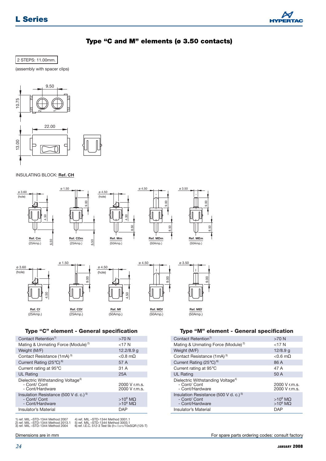

#### **Type "C and M" elements (ø 3.50 contacts)**



(assembly with spacer clips)





#### **Type "C" element - General specification**

|                                                                                                              | g<br>တ               | 4.50                                                                                                                               | 00.6                 | 8                                                                                    |                                                 |
|--------------------------------------------------------------------------------------------------------------|----------------------|------------------------------------------------------------------------------------------------------------------------------------|----------------------|--------------------------------------------------------------------------------------|-------------------------------------------------|
| Ref. Cf<br>(25Amp.)                                                                                          | Ref. CDf<br>(25Amp.) | Ref. Mf<br>(50Amp.)                                                                                                                | Ref. MDf<br>(50Amp.) | Ref. MEf<br>(50Amp.)                                                                 |                                                 |
|                                                                                                              |                      | Type "C" element - General specification                                                                                           |                      | Type "M" element - General specification                                             |                                                 |
| Contact Retention <sup>1)</sup>                                                                              |                      | $>70$ N                                                                                                                            |                      | Contact Retention <sup>1)</sup>                                                      | $>70$ N                                         |
| Mating & Unmating Force (Module) <sup>2)</sup>                                                               |                      | $<$ 17 $N$                                                                                                                         |                      | Mating & Unmating Force (Module) <sup>2)</sup>                                       | $<$ 17 N                                        |
| Weight (M/F)                                                                                                 |                      | 12.2/8.9 g                                                                                                                         |                      | Weight (M/F)                                                                         | $12/8.9$ q                                      |
| Contact Resistance (1mA) <sup>3)</sup>                                                                       |                      | $< 0.8$ m $\Omega$                                                                                                                 |                      | Contact Resistance (1mA) <sup>3)</sup>                                               | $< 0.6$ m $\Omega$                              |
| Current Rating $(25^{\circ}C)^{6}$                                                                           |                      | 57 A                                                                                                                               |                      | Current Rating $(25^{\circ}C)^{6}$                                                   | 86 A                                            |
| Current rating at 95°C                                                                                       |                      | 31 A                                                                                                                               |                      | Current rating at 95°C                                                               | 47 A                                            |
| <b>UL Rating</b>                                                                                             |                      | 25A                                                                                                                                |                      | <b>UL Rating</b>                                                                     | 50 A                                            |
| Dielectric Withstanding Voltage <sup>4)</sup><br>- Cont/ Cont<br>- Cont/Hardware                             |                      | 2000 V r.m.s.<br>2000 V r.m.s.                                                                                                     |                      | Dielectric Withstanding Voltage <sup>4)</sup><br>- Cont/ Cont<br>- Cont/Hardware     | 2000 V r.m.s.<br>2000 V r.m.s.                  |
| Insulation Resistance (500 V d. c.) <sup>5)</sup><br>- Cont/ Cont<br>- Cont/Hardware                         |                      | $>10^6$ M $\Omega$<br>$>10^6$ M $\Omega$                                                                                           |                      | Insulation Resistance (500 V d. c.) <sup>5)</sup><br>- Cont/ Cont<br>- Cont/Hardware | $>10^6$ M $\Omega$<br>$>10^6$ M $\Omega$        |
| Insulator's Material                                                                                         |                      | <b>DAP</b>                                                                                                                         |                      | Insulator's Material                                                                 | <b>DAP</b>                                      |
| 1) ref. MIL-STD-1344 Method 2007<br>2) ref. MIL –STD-1344 Method 2013.1<br>3) ref. MIL –STD-1344 Method 2004 |                      | 4) ref. MIL-STD-1344 Method 3001.1<br>5) ref. MIL-STD-1344 Method 3003.1<br>6) ref. I.E.C. 512-3 Test 5b (IT= 125°C/10xSQR (125-T) |                      |                                                                                      |                                                 |
| Dimensions are in mm                                                                                         |                      |                                                                                                                                    |                      |                                                                                      | For spare parts ordering codes: consult factory |
| 24                                                                                                           |                      |                                                                                                                                    |                      |                                                                                      | <b>JANUARY 2008</b>                             |

#### **Type "M" element - General specification**

| Contact Retention <sup>1)</sup>                                                      | $>70$ N                          |
|--------------------------------------------------------------------------------------|----------------------------------|
| Mating & Unmating Force (Module) <sup>2)</sup>                                       | $<$ 17 N                         |
| Weight (M/F)                                                                         | $12/8.9$ g                       |
| Contact Resistance (1mA) <sup>3)</sup>                                               | $< 0.6$ m $\Omega$               |
| Current Rating (25°C) <sup>6)</sup>                                                  | 86 A                             |
| Current rating at 95°C                                                               | 47 A                             |
| <b>UL Rating</b>                                                                     | 50 A                             |
| Dielectric Withstanding Voltage <sup>4)</sup><br>- Cont/ Cont<br>- Cont/Hardware     | 2000 V r.m.s.<br>2000 V r.m.s.   |
| Insulation Resistance (500 V d. c.) <sup>5)</sup><br>- Cont/ Cont<br>- Cont/Hardware | $>10^6$ M $\Omega$<br>$>10^6$ ΜΩ |
| Insulator's Material                                                                 | DAP                              |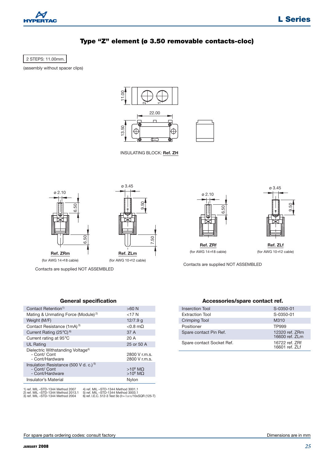

#### **Type "Z" element (ø 3.50 removable contacts-cloc)**

2 STEPS: 11.00mm.

(assembly without spacer clips)



INSULATING BLOCK: **Ref. ZH**





ø 3.45

Contacts are supplied NOT ASSEMBLED

#### **General specification**

| Contact Retention <sup>1)</sup>                                                                     | $>60$ N                                  |
|-----------------------------------------------------------------------------------------------------|------------------------------------------|
| Mating & Unmating Force (Module) <sup>2)</sup>                                                      | $<$ 17 N                                 |
| Weight (M/F)                                                                                        | 12/7.9 g                                 |
| Contact Resistance (1mA) <sup>3)</sup>                                                              | $< 0.8$ m $\Omega$                       |
| Current Rating $(25^{\circ}C)^{6}$                                                                  | 37 A                                     |
| Current rating at 95°C                                                                              | 20 A                                     |
| <b>UL Rating</b>                                                                                    | 25 or 50 A                               |
| Dielectric Withstanding Voltage <sup>4)</sup><br>- Cont/ Cont<br>- Cont/Hardware                    | 2800 V r.m.s.<br>2800 V r.m.s.           |
| Insulation Resistance (500 V d. c.) <sup>5)</sup><br>- Cont/ Cont<br>- Cont/Hardware                | $>10^6$ M $\Omega$<br>$>10^6$ M $\Omega$ |
| Insulator's Material                                                                                | Nylon                                    |
| 1) rof MIL_STD_1244 Mothod 2007<br>$\Lambda$ rof $\Lambda$ III $\equiv$ CTD $\pm$ 344 Mothod 3001 1 |                                          |

1) ref. MIL –STD-1344 Method 2007 2) ref. MIL –STD-1344 Method 2013.1 3) ref. MIL –STD-1344 Method 2004

4) ref. MIL –STD-1344 Method 3001.1 5) ref. MIL –STD-1344 Method 3003.1 6) ref. I.E.C. 512-3 Test 5b (IT= I 25°C/10xSQR (125-T)





(for AWG  $14 \div 18$  cable) (for AWG  $10 \div 12$  cable)

Contacts are supplied NOT ASSEMBLED

#### **Accessories/spare contact ref.**

| Inserction Tool           | S-0350-01                         |
|---------------------------|-----------------------------------|
| <b>Extraction Tool</b>    | S-0350-01                         |
| <b>Crimping Tool</b>      | M310                              |
| Positioner                | TP999                             |
| Spare contact Pin Ref.    | 12320 ref. ZRm<br>16600 ref. 7l m |
| Spare contact Socket Ref. | 16722 ref. 7Rf<br>16601 ref. 7I f |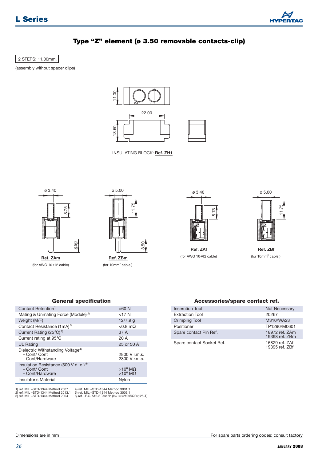

#### **Type "Z" element (ø 3.50 removable contacts-clip)**

2 STEPS: 11.00mm.

(assembly without spacer clips)





INSULATING BLOCK: **Ref. ZH1**





(for AWG 10 $\div$ 12 cable) (for 10mm<sup>2</sup> cable.) **Ref. ZAm Ref. ZBm**



(for AWG 10 $\div$ 12 cable) (for 10mm<sup>2</sup> cable.)



**Ref. ZAf Ref. ZBf**

#### **General specification**

| Contact Retention <sup>1)</sup>                                                      | $>60$ N                                  |
|--------------------------------------------------------------------------------------|------------------------------------------|
| Mating & Unmating Force (Module) <sup>2)</sup>                                       | $<$ 17 N                                 |
| Weight (M/F)                                                                         | $12/7.9$ q                               |
| Contact Resistance (1mA) <sup>3)</sup>                                               | $< 0.8$ m $\Omega$                       |
| Current Rating (25 $^{\circ}$ C) <sup>6)</sup>                                       | 37 A                                     |
| Current rating at 95°C                                                               | 20 A                                     |
| <b>UL Rating</b>                                                                     | 25 or 50 A                               |
| Dielectric Withstanding Voltage <sup>4)</sup><br>- Cont/ Cont<br>- Cont/Hardware     | 2800 V r.m.s.<br>2800 V r.m.s.           |
| Insulation Resistance (500 V d. c.) <sup>5)</sup><br>- Cont/ Cont<br>- Cont/Hardware | $>10^6$ M $\Omega$<br>$>10^6$ M $\Omega$ |
| Insulator's Material                                                                 | Nylon                                    |
|                                                                                      |                                          |

1) ref. MIL –STD-1344 Method 2007 2) ref. MIL –STD-1344 Method 2013.1 3) ref. MIL –STD-1344 Method 2004

4) ref. MIL –STD-1344 Method 3001.1 5) ref. MIL –STD-1344 Method 3003.1 6) ref. I.E.C. 512-3 Test 5b (IT= I 25°C/10xSQR (125-T)

#### **Accessories/spare contact ref.**

| Inserction Tool           | Not Necessary                    |
|---------------------------|----------------------------------|
| <b>Extraction Tool</b>    | 20267                            |
| <b>Crimping Tool</b>      | M310/WA23                        |
| Positioner                | TP1290/M0601                     |
| Spare contact Pin Ref.    | 18972 ref. ZAm<br>19398 ref. 7Bm |
| Spare contact Socket Ref. | 16829 ref. ZAf<br>19395 ref. 7Bf |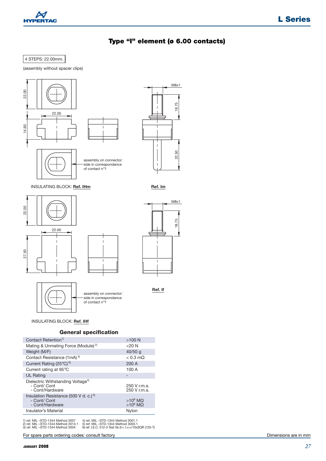

#### **Type "I" element (ø 6.00 contacts)**

22.50

 $\overline{1}$ 

M8x1

18.75

**Ref. If**

 $\overline{1}$ 

M8x1

18.75

#### 4 STEPS: 22.00mm.







#### **General specification**

| Contact Retention <sup>1)</sup>                                                      | $>100$ N                         |
|--------------------------------------------------------------------------------------|----------------------------------|
| Mating & Unmating Force (Module) <sup>2)</sup>                                       | $<$ 20 N                         |
| Weight (M/F)                                                                         | $40/50$ g                        |
| Contact Resistance (1mA) <sup>3)</sup>                                               | $< 0.3$ m $\Omega$               |
| Current Rating $(25^{\circ}C)^{6}$                                                   | 200 A                            |
| Current rating at 95°C                                                               | 100 A                            |
| <b>UL Rating</b>                                                                     |                                  |
| Dielectric Withstanding Voltage <sup>4)</sup><br>- Cont/ Cont<br>- Cont/Hardware     | 250 V r.m.s.<br>$250$ V r.m.s.   |
| Insulation Resistance (500 V d. c.) <sup>5)</sup><br>- Cont/ Cont<br>- Cont/Hardware | $>10^6$ ΜΩ<br>$>10^6$ M $\Omega$ |
| Insulator's Material                                                                 | Nylon                            |

1) ref. MIL –STD-1344 Method 2007 2) ref. MIL –STD-1344 Method 2013.1 3) ref. MIL –STD-1344 Method 2004 4) ref. MIL –STD-1344 Method 3001.1 5) ref. MIL –STD-1344 Method 3003.1 6) ref. I.E.C. 512-3 Test 5b (IT= I 25°C/10xSQR (125-T)

For spare parts ordering codes: consult factory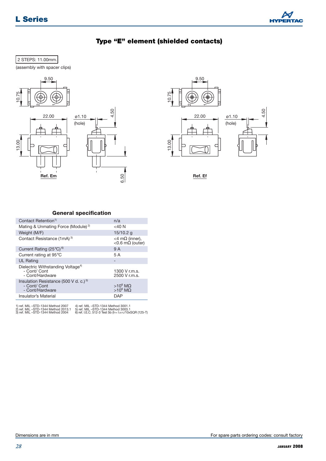

#### **Type "E" element (shielded contacts)**

#### 2 STEPS: 11.00mm.

(assembly with spacer clips)





**Ref. Ef**

#### **General specification**

| Contact Retention <sup>1)</sup>                                                      | n/a                                               |
|--------------------------------------------------------------------------------------|---------------------------------------------------|
| Mating & Unmating Force (Module) <sup>2)</sup>                                       | $<$ 40 N                                          |
| Weight (M/F)                                                                         | $15/10.2$ g                                       |
| Contact Resistance (1mA) <sup>3)</sup>                                               | <4 m $\Omega$ (inner),<br><0.6 m $\Omega$ (outer) |
| Current Rating $(25^{\circ}C)^{6}$                                                   | 9 A                                               |
| Current rating at 95°C                                                               | 5 A                                               |
| <b>UL Rating</b>                                                                     |                                                   |
| Dielectric Withstanding Voltage <sup>4)</sup><br>- Cont/ Cont<br>- Cont/Hardware     | 1300 V r.m.s.<br>2500 V r.m.s.                    |
| Insulation Resistance (500 V d. c.) <sup>5)</sup><br>- Cont/ Cont<br>- Cont/Hardware | $>10^6$ M $\Omega$<br>$>10^6$ M $\Omega$          |
| Insulator's Material                                                                 | DAP                                               |

1) ref. MIL –STD-1344 Method 2007 2) ref. MIL –STD-1344 Method 2013.1 3) ref. MIL –STD-1344 Method 2004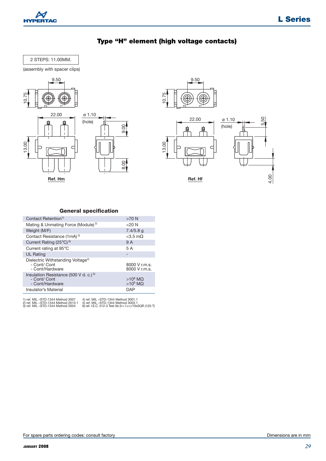

#### **Type "H" element (high voltage contacts)**



(assembly with spacer clips)





**General specification**

| Contact Retention <sup>1)</sup>                                                      | $>70$ N                                  |
|--------------------------------------------------------------------------------------|------------------------------------------|
| Mating & Unmating Force (Module) <sup>2)</sup>                                       | $<$ 20 N                                 |
| Weight (M/F)                                                                         | $7.4/5.8$ q                              |
| Contact Resistance (1mA) <sup>3)</sup>                                               | $<$ 3.5 m $\Omega$                       |
| Current Rating (25°C) <sup>6)</sup>                                                  | 9 A                                      |
| Current rating at 95°C                                                               | 5 A                                      |
| <b>UL Rating</b>                                                                     |                                          |
| Dielectric Withstanding Voltage <sup>4)</sup><br>- Cont/ Cont<br>- Cont/Hardware     | 8000 V r.m.s.<br>8000 V r.m.s.           |
| Insulation Resistance (500 V d. c.) <sup>5)</sup><br>- Cont/ Cont<br>- Cont/Hardware | $>10^6$ M $\Omega$<br>$>10^6$ M $\Omega$ |
| Insulator's Material                                                                 | DAP                                      |
|                                                                                      |                                          |

1) ref. MIL –STD-1344 Method 2007 2) ref. MIL –STD-1344 Method 2013.1 3) ref. MIL –STD-1344 Method 2004

4) ref. MIL –STD-1344 Method 3001.1 5) ref. MIL –STD-1344 Method 3003.1 6) ref. I.E.C. 512-3 Test 5b (IT= I 25°C/10xSQR (125-T)

8.00

 $9.00$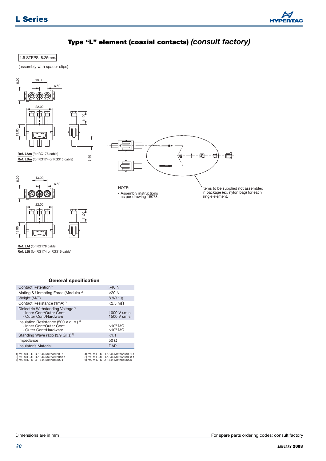

#### **Type "L" element (coaxial contacts)** *(consult factory)*

#### 1.5 STEPS: 8.25mm.

(assembly with spacer clips)



**Ref. LAf** (for RG178 cable) **Ref. LBf** (for RG174 or RG316 cable)

13.00

#### **General specification**

11.00

| Contact Retention <sup>1)</sup>                                                                            | $>40$ N                                                                                                      |
|------------------------------------------------------------------------------------------------------------|--------------------------------------------------------------------------------------------------------------|
| Mating & Unmating Force (Module) <sup>2)</sup>                                                             | $<$ 20 N                                                                                                     |
| Weight (M/F)                                                                                               | $8.9/11$ q                                                                                                   |
| Contact Resistance (1mA) 3)                                                                                | $<$ 2.5 m $\Omega$                                                                                           |
| Dielectric Withstanding Voltage <sup>4)</sup><br>- Inner Cont/Outer Cont<br>- Outer Cont/Hardware          | 1000 V r.m.s.<br>1500 V r.m.s.                                                                               |
| Insulation Resistance (500 V d. c.) <sup>5)</sup><br>- Inner Cont/Outer Cont<br>- Outer Cont/Hardware      | $>10^6$ ΜΩ<br>$>10^6$ ΜΩ                                                                                     |
| Standing Wave ratio (3.9 GHz) <sup>6)</sup>                                                                | <1.1                                                                                                         |
| Impedance                                                                                                  | 50 $\Omega$                                                                                                  |
| Insulator's Material                                                                                       | <b>DAP</b>                                                                                                   |
| 1) ref. MIL-STD-1344 Method 2007<br>2) ref. MIL-STD-1344 Method 2013.1<br>3) ref. MIL-STD-1344 Method 2004 | 4) ref. MIL-STD-1344 Method 3001.1<br>5) ref. MIL-STD-1344 Method 3003.1<br>6) ref. MIL-STD-1344 Method 3005 |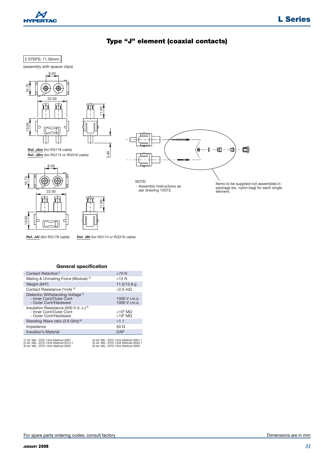



#### **Type "J" element (coaxial contacts)**

#### **General specification**

| 22.00                                                                                                         | NOT<br>- As<br>рe                                                                                              |
|---------------------------------------------------------------------------------------------------------------|----------------------------------------------------------------------------------------------------------------|
|                                                                                                               |                                                                                                                |
| Ref. JAf ((for RG178 cable)                                                                                   | Ref. JBf (for RG174 or RG316 cable)                                                                            |
| <b>General specification</b>                                                                                  |                                                                                                                |
| Contact Retention <sup>1)</sup>                                                                               | $>70$ N                                                                                                        |
| Mating & Unmating Force (Module) <sup>2)</sup>                                                                | $<$ 13 $N$                                                                                                     |
| Weight (M/F)                                                                                                  | 11.5/12.8 g                                                                                                    |
| Contact Resistance (1mA) 3)                                                                                   | $<$ 2.5 m $\Omega$                                                                                             |
| Dielectric Withstanding Voltage <sup>4)</sup><br>- Inner Cont/Outer Cont<br>- Outer Cont/Hardware             | 1000 V r.m.s.<br>1000 V r.m.s.                                                                                 |
| Insulation Resistance (500 V d. c.) <sup>5)</sup><br>- Inner Cont/Outer Cont<br>- Outer Cont/Hardware         | >10 <sup>6</sup> ΜΩ<br>>10 <sup>6</sup> ΜΩ                                                                     |
| Standing Wave ratio (3.9 GHz) <sup>6)</sup>                                                                   | < 1.1                                                                                                          |
| Impedance                                                                                                     | $50\ \Omega$                                                                                                   |
| <b>Insulator's Material</b>                                                                                   | <b>DAP</b>                                                                                                     |
| 1) ref. MIL –STD-1344 Method 2007<br>2) ref. MIL –STD-1344 Method 2013.1<br>3) ref. MIL –STD-1344 Method 2004 | 4) ref. MIL-STD-1344 Method 3001.1<br>5) ref. MIL -STD-1344 Method 3003.1<br>6) ref. MIL -STD-1344 Method 3005 |
|                                                                                                               |                                                                                                                |
| For spare parts ordering codes: consult factory                                                               |                                                                                                                |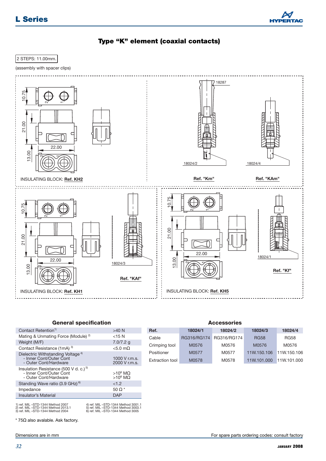**L Series**



#### **Type "K" element (coaxial contacts)**

2 STEPS: 11.00mm.

(assembly with spacer clips)



#### **General specification**

| Contact Retention <sup>1)</sup>                                                                              | $>40$ N                                                                                                      |
|--------------------------------------------------------------------------------------------------------------|--------------------------------------------------------------------------------------------------------------|
| Mating & Unmating Force (Module) <sup>2)</sup>                                                               | $<$ 15 N                                                                                                     |
| Weight (M/F)                                                                                                 | $7.0/7.2$ g                                                                                                  |
| Contact Resistance (1mA) 3)                                                                                  | $< 5.0$ m $\Omega$                                                                                           |
| Dielectric Withstanding Voltage <sup>4)</sup><br>- Inner Cont/Outer Cont<br>- Outer Cont/Hardware            | 1000 V r.m.s.<br>2000 V r.m.s.                                                                               |
| Insulation Resistance (500 V d. c.) <sup>5)</sup><br>- Inner Cont/Outer Cont<br>- Outer Cont/Hardware        | $>10^6$ M $\Omega$<br>$>10^6$ M $\Omega$                                                                     |
| Standing Wave ratio (3.9 GHz) <sup>6)</sup>                                                                  | <1.2                                                                                                         |
| Impedance                                                                                                    | 50 $\Omega$ *                                                                                                |
| Insulator's Material                                                                                         | DAP                                                                                                          |
| 1) ref. MIL-STD-1344 Method 2007<br>2) ref. MIL –STD-1344 Method 2013.1<br>3) ref. MIL -STD-1344 Method 2004 | 4) ref. MIL-STD-1344 Method 3001.1<br>5) ref. MIL-STD-1344 Method 3003.1<br>6) ref. MIL-STD-1344 Method 3005 |

|         | <b>Accessories</b> |         |         |
|---------|--------------------|---------|---------|
| 18024/1 | 18024/2            | 18024/3 | 18024/4 |

| neı.            | 100247 L    | $1002 + 2$  | 1002473     | 1004474     |
|-----------------|-------------|-------------|-------------|-------------|
| Cable           | RG316/RG174 | RG316/RG174 | <b>RG58</b> | <b>RG58</b> |
| Crimping tool   | M0576       | M0576       | M0576       | M0576       |
| Positioner      | M0577       | M0577       | 11W.150.106 | 11W.150.106 |
| Extraction tool | M0578       | M0578       | 11W.101.000 | 11W.101.000 |

 $*$  75 $\Omega$  also avalable. Ask factory.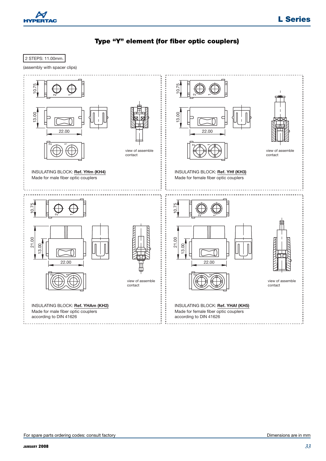



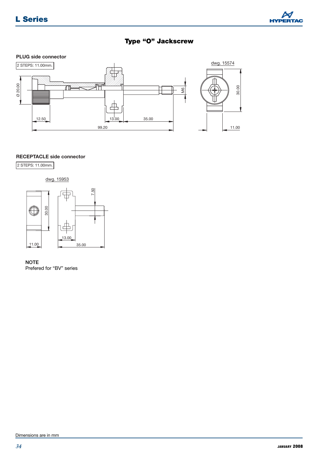

#### **Type "O" Jackscrew**





#### **RECEPTACLE side connector**

2 STEPS: 11.00mm.



**NOTE** Prefered for "BV" series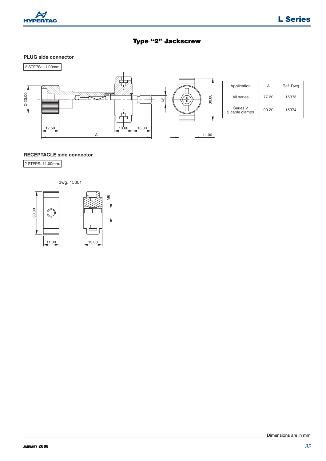

#### **Type "2" Jackscrew**

#### **PLUG side connector**



| Application                | А     | Ref. Dwg |
|----------------------------|-------|----------|
| All series                 | 77.20 | 15373    |
| Series V<br>2 cable clamps | 90.20 | 15374    |

2 STEPS: 11.00mm.

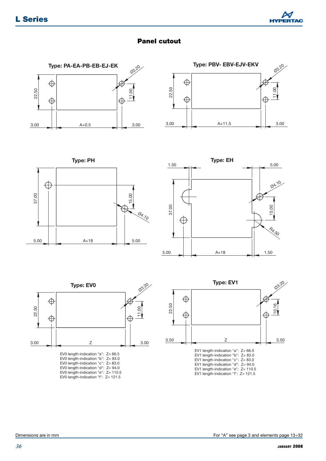

#### **Panel cutout**











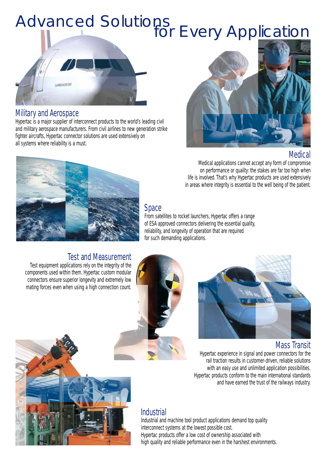# Advanced Solutions<br>for Every Application



#### Military and Aerospace

Hypertac is a major supplier of interconnect products to the world's leading civil and military aerospace manufacturers. From civil airlines to new generation strike fighter aircrafts, Hypertac connector solutions are used extensively on all systems where reliability is a must.



### Medical

Medical applications cannot accept any form of compromise on performance or quality: the stakes are far too high when life is involved. That's why Hypertac products are used extensively in areas where integrity is essential to the well being of the patient.



#### Space

From satellites to rocket launchers, Hypertac offers a range of ESA approved connectors delivering the essential quality, reliability, and longevity of operation that are required for such demanding applications.

## Test and Measurement

Test equipment applications rely on the integrity of the components used within them. Hypertac custom modular connectors ensure superior longevity and extremely low mating forces even when using a high connection count.





#### Mass Transit

Hypertac experience in signal and power connectors for the rail traction results in customer-driven, reliable solutions with an easy use and unlimited application possibilities. Hypertac products conform to the main international standards and have earned the trust of the railways industry.

### **Industrial**

Industrial and machine tool product applications demand top quality interconnect systems at the lowest possible cost. Hypertac products offer a low cost of ownership associated with high quality and reliable performance even in the harshest environments.